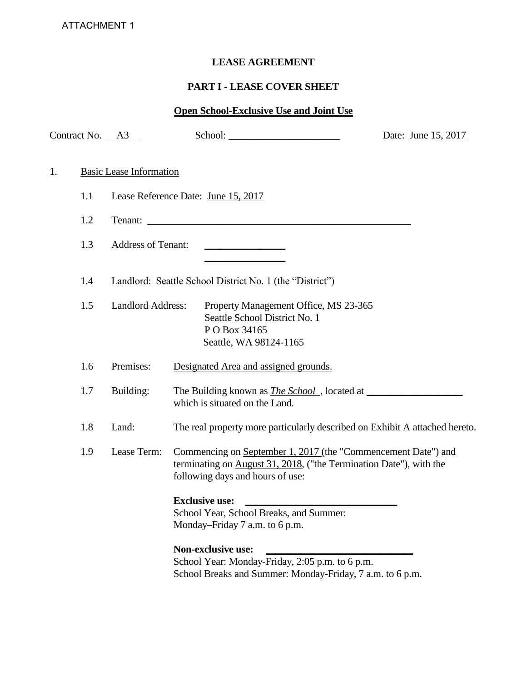# **LEASE AGREEMENT**

# **PART I - LEASE COVER SHEET**

# **Open School-Exclusive Use and Joint Use**

|    | Contract No. A3 |                                |                                                                                                                                                                         | Date: June 15, 2017 |
|----|-----------------|--------------------------------|-------------------------------------------------------------------------------------------------------------------------------------------------------------------------|---------------------|
| 1. |                 | <b>Basic Lease Information</b> |                                                                                                                                                                         |                     |
|    | 1.1             |                                | Lease Reference Date: June 15, 2017                                                                                                                                     |                     |
|    | 1.2             |                                |                                                                                                                                                                         |                     |
|    | 1.3             | <b>Address of Tenant:</b>      | <u> 1989 - Johann Barn, mars an t-Amerikaansk politiker (</u>                                                                                                           |                     |
|    | 1.4             |                                | Landlord: Seattle School District No. 1 (the "District")                                                                                                                |                     |
|    | 1.5             | <b>Landlord Address:</b>       | Property Management Office, MS 23-365<br>Seattle School District No. 1<br>PO Box 34165<br>Seattle, WA 98124-1165                                                        |                     |
|    | 1.6             | Premises:                      | Designated Area and assigned grounds.                                                                                                                                   |                     |
|    | 1.7             | Building:                      | which is situated on the Land.                                                                                                                                          |                     |
|    | 1.8             | Land:                          | The real property more particularly described on Exhibit A attached hereto.                                                                                             |                     |
|    | 1.9             | Lease Term:                    | Commencing on September 1, 2017 (the "Commencement Date") and<br>terminating on August 31, 2018, ("the Termination Date"), with the<br>following days and hours of use: |                     |
|    |                 |                                | <b>Exclusive use:</b><br>School Year, School Breaks, and Summer:<br>Monday-Friday 7 a.m. to 6 p.m.                                                                      |                     |
|    |                 |                                | <b>Non-exclusive use:</b><br>School Year: Monday-Friday, 2:05 p.m. to 6 p.m.<br>School Breaks and Summer: Monday-Friday, 7 a.m. to 6 p.m.                               |                     |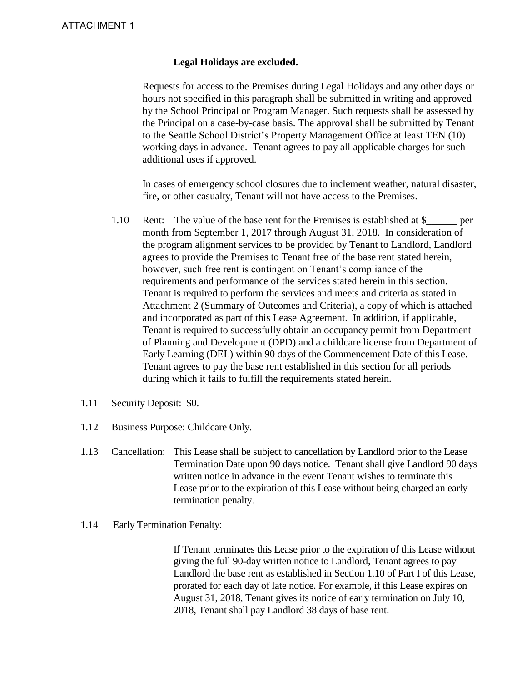#### **Legal Holidays are excluded.**

Requests for access to the Premises during Legal Holidays and any other days or hours not specified in this paragraph shall be submitted in writing and approved by the School Principal or Program Manager. Such requests shall be assessed by the Principal on a case-by-case basis. The approval shall be submitted by Tenant to the Seattle School District's Property Management Office at least TEN (10) working days in advance. Tenant agrees to pay all applicable charges for such additional uses if approved.

In cases of emergency school closures due to inclement weather, natural disaster, fire, or other casualty, Tenant will not have access to the Premises.

- 1.10 Rent: The value of the base rent for the Premises is established at \$\_\_\_\_\_\_ per month from September 1, 2017 through August 31, 2018. In consideration of the program alignment services to be provided by Tenant to Landlord, Landlord agrees to provide the Premises to Tenant free of the base rent stated herein, however, such free rent is contingent on Tenant's compliance of the requirements and performance of the services stated herein in this section. Tenant is required to perform the services and meets and criteria as stated in Attachment 2 (Summary of Outcomes and Criteria), a copy of which is attached and incorporated as part of this Lease Agreement. In addition, if applicable, Tenant is required to successfully obtain an occupancy permit from Department of Planning and Development (DPD) and a childcare license from Department of Early Learning (DEL) within 90 days of the Commencement Date of this Lease. Tenant agrees to pay the base rent established in this section for all periods during which it fails to fulfill the requirements stated herein.
- 1.11 Security Deposit: \$0.
- 1.12 Business Purpose: Childcare Only.
- 1.13 Cancellation: This Lease shall be subject to cancellation by Landlord prior to the Lease Termination Date upon 90 days notice. Tenant shall give Landlord 90 days written notice in advance in the event Tenant wishes to terminate this Lease prior to the expiration of this Lease without being charged an early termination penalty.
- 1.14 Early Termination Penalty:

If Tenant terminates this Lease prior to the expiration of this Lease without giving the full 90-day written notice to Landlord, Tenant agrees to pay Landlord the base rent as established in Section 1.10 of Part I of this Lease, prorated for each day of late notice. For example, if this Lease expires on August 31, 2018, Tenant gives its notice of early termination on July 10, 2018, Tenant shall pay Landlord 38 days of base rent.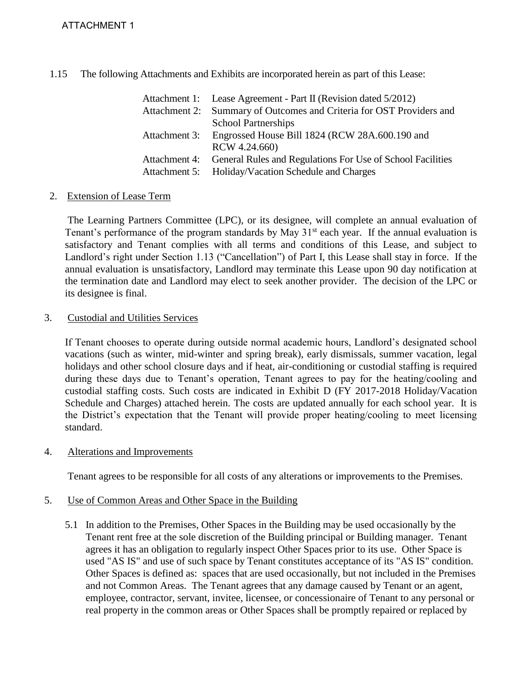1.15 The following Attachments and Exhibits are incorporated herein as part of this Lease:

| Attachment 1: Lease Agreement - Part II (Revision dated 5/2012)          |
|--------------------------------------------------------------------------|
| Attachment 2: Summary of Outcomes and Criteria for OST Providers and     |
| <b>School Partnerships</b>                                               |
| Attachment 3: Engrossed House Bill 1824 (RCW 28A.600.190 and             |
| RCW 4.24.660)                                                            |
| Attachment 4: General Rules and Regulations For Use of School Facilities |
| Attachment 5: Holiday/Vacation Schedule and Charges                      |

# 2. Extension of Lease Term

 The Learning Partners Committee (LPC), or its designee, will complete an annual evaluation of Tenant's performance of the program standards by May  $31<sup>st</sup>$  each year. If the annual evaluation is satisfactory and Tenant complies with all terms and conditions of this Lease, and subject to Landlord's right under Section 1.13 ("Cancellation") of Part I, this Lease shall stay in force. If the annual evaluation is unsatisfactory, Landlord may terminate this Lease upon 90 day notification at the termination date and Landlord may elect to seek another provider. The decision of the LPC or its designee is final.

# 3. Custodial and Utilities Services

 If Tenant chooses to operate during outside normal academic hours, Landlord's designated school vacations (such as winter, mid-winter and spring break), early dismissals, summer vacation, legal holidays and other school closure days and if heat, air-conditioning or custodial staffing is required during these days due to Tenant's operation, Tenant agrees to pay for the heating/cooling and custodial staffing costs. Such costs are indicated in Exhibit D (FY 2017-2018 Holiday/Vacation Schedule and Charges) attached herein. The costs are updated annually for each school year. It is the District's expectation that the Tenant will provide proper heating/cooling to meet licensing standard.

# 4. Alterations and Improvements

Tenant agrees to be responsible for all costs of any alterations or improvements to the Premises.

# 5. Use of Common Areas and Other Space in the Building

 5.1 In addition to the Premises, Other Spaces in the Building may be used occasionally by the Tenant rent free at the sole discretion of the Building principal or Building manager. Tenant agrees it has an obligation to regularly inspect Other Spaces prior to its use. Other Space is used "AS IS" and use of such space by Tenant constitutes acceptance of its "AS IS" condition. Other Spaces is defined as: spaces that are used occasionally, but not included in the Premises and not Common Areas. The Tenant agrees that any damage caused by Tenant or an agent, employee, contractor, servant, invitee, licensee, or concessionaire of Tenant to any personal or real property in the common areas or Other Spaces shall be promptly repaired or replaced by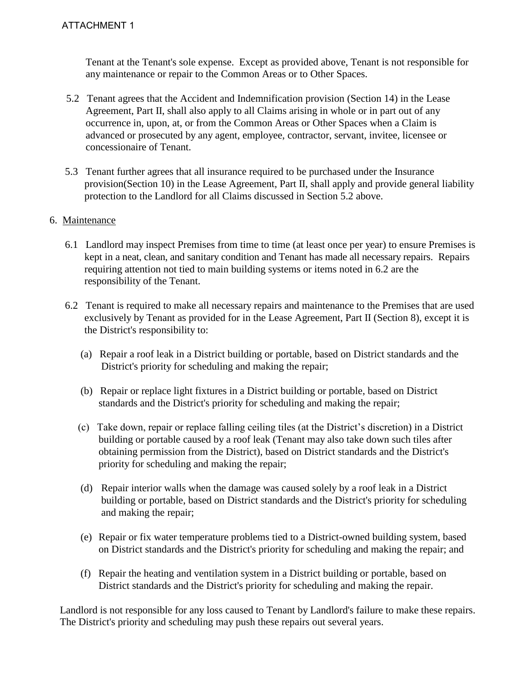Tenant at the Tenant's sole expense. Except as provided above, Tenant is not responsible for any maintenance or repair to the Common Areas or to Other Spaces.

- 5.2 Tenant agrees that the Accident and Indemnification provision (Section 14) in the Lease Agreement, Part II, shall also apply to all Claims arising in whole or in part out of any occurrence in, upon, at, or from the Common Areas or Other Spaces when a Claim is advanced or prosecuted by any agent, employee, contractor, servant, invitee, licensee or concessionaire of Tenant.
- 5.3 Tenant further agrees that all insurance required to be purchased under the Insurance provision(Section 10) in the Lease Agreement, Part II, shall apply and provide general liability protection to the Landlord for all Claims discussed in Section 5.2 above.

# 6. Maintenance

- 6.1 Landlord may inspect Premises from time to time (at least once per year) to ensure Premises is kept in a neat, clean, and sanitary condition and Tenant has made all necessary repairs. Repairs requiring attention not tied to main building systems or items noted in 6.2 are the responsibility of the Tenant.
- 6.2 Tenant is required to make all necessary repairs and maintenance to the Premises that are used exclusively by Tenant as provided for in the Lease Agreement, Part II (Section 8), except it is the District's responsibility to:
	- (a) Repair a roof leak in a District building or portable, based on District standards and the District's priority for scheduling and making the repair;
	- (b) Repair or replace light fixtures in a District building or portable, based on District standards and the District's priority for scheduling and making the repair;
	- (c) Take down, repair or replace falling ceiling tiles (at the District's discretion) in a District building or portable caused by a roof leak (Tenant may also take down such tiles after obtaining permission from the District), based on District standards and the District's priority for scheduling and making the repair;
	- (d) Repair interior walls when the damage was caused solely by a roof leak in a District building or portable, based on District standards and the District's priority for scheduling and making the repair;
	- (e) Repair or fix water temperature problems tied to a District-owned building system, based on District standards and the District's priority for scheduling and making the repair; and
	- (f) Repair the heating and ventilation system in a District building or portable, based on District standards and the District's priority for scheduling and making the repair.

Landlord is not responsible for any loss caused to Tenant by Landlord's failure to make these repairs. The District's priority and scheduling may push these repairs out several years.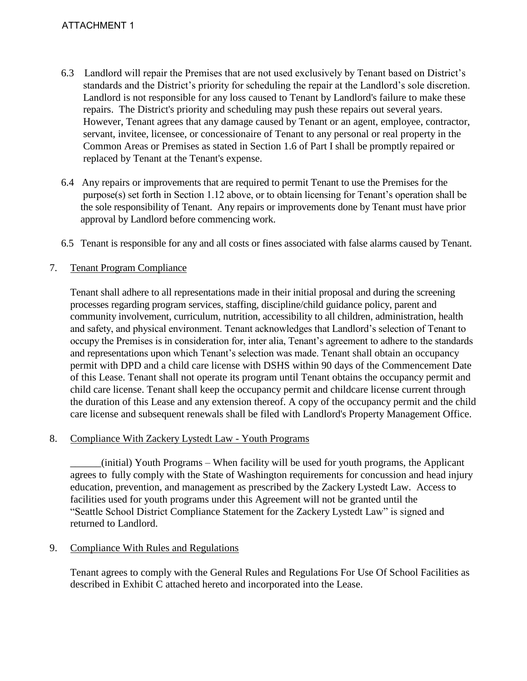# ATTACHMENT 1

- 6.3 Landlord will repair the Premises that are not used exclusively by Tenant based on District's standards and the District's priority for scheduling the repair at the Landlord's sole discretion. Landlord is not responsible for any loss caused to Tenant by Landlord's failure to make these repairs. The District's priority and scheduling may push these repairs out several years. However, Tenant agrees that any damage caused by Tenant or an agent, employee, contractor, servant, invitee, licensee, or concessionaire of Tenant to any personal or real property in the Common Areas or Premises as stated in Section 1.6 of Part I shall be promptly repaired or replaced by Tenant at the Tenant's expense.
- 6.4 Any repairs or improvements that are required to permit Tenant to use the Premises for the purpose(s) set forth in Section 1.12 above, or to obtain licensing for Tenant's operation shall be the sole responsibility of Tenant. Any repairs or improvements done by Tenant must have prior approval by Landlord before commencing work.
- 6.5 Tenant is responsible for any and all costs or fines associated with false alarms caused by Tenant.
- 7. Tenant Program Compliance

Tenant shall adhere to all representations made in their initial proposal and during the screening processes regarding program services, staffing, discipline/child guidance policy, parent and community involvement, curriculum, nutrition, accessibility to all children, administration, health and safety, and physical environment. Tenant acknowledges that Landlord's selection of Tenant to occupy the Premises is in consideration for, inter alia, Tenant's agreement to adhere to the standards and representations upon which Tenant's selection was made. Tenant shall obtain an occupancy permit with DPD and a child care license with DSHS within 90 days of the Commencement Date of this Lease. Tenant shall not operate its program until Tenant obtains the occupancy permit and child care license. Tenant shall keep the occupancy permit and childcare license current through the duration of this Lease and any extension thereof. A copy of the occupancy permit and the child care license and subsequent renewals shall be filed with Landlord's Property Management Office.

#### 8. Compliance With Zackery Lystedt Law - Youth Programs

\_\_\_\_\_\_(initial) Youth Programs – When facility will be used for youth programs, the Applicant agrees to fully comply with the State of Washington requirements for concussion and head injury education, prevention, and management as prescribed by the Zackery Lystedt Law. Access to facilities used for youth programs under this Agreement will not be granted until the "Seattle School District Compliance Statement for the Zackery Lystedt Law" is signed and returned to Landlord.

# 9. Compliance With Rules and Regulations

 Tenant agrees to comply with the General Rules and Regulations For Use Of School Facilities as described in Exhibit C attached hereto and incorporated into the Lease.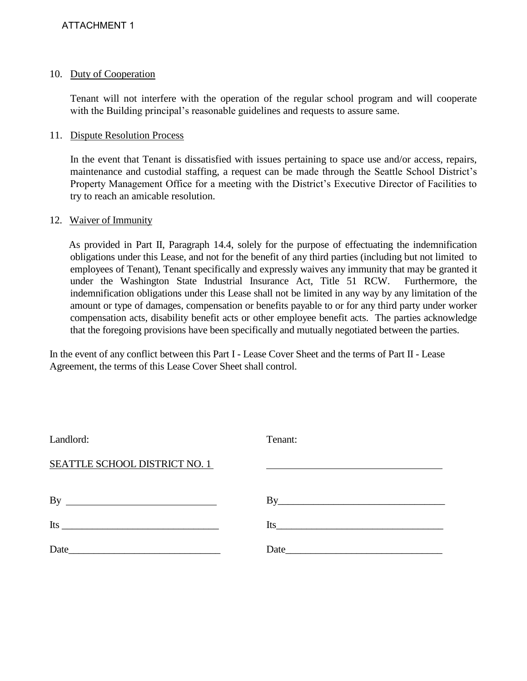#### 10. Duty of Cooperation

 Tenant will not interfere with the operation of the regular school program and will cooperate with the Building principal's reasonable guidelines and requests to assure same.

#### 11. Dispute Resolution Process

 In the event that Tenant is dissatisfied with issues pertaining to space use and/or access, repairs, maintenance and custodial staffing, a request can be made through the Seattle School District's Property Management Office for a meeting with the District's Executive Director of Facilities to try to reach an amicable resolution.

#### 12. Waiver of Immunity

As provided in Part II, Paragraph 14.4, solely for the purpose of effectuating the indemnification obligations under this Lease, and not for the benefit of any third parties (including but not limited to employees of Tenant), Tenant specifically and expressly waives any immunity that may be granted it under the Washington State Industrial Insurance Act, Title 51 RCW. Furthermore, the indemnification obligations under this Lease shall not be limited in any way by any limitation of the amount or type of damages, compensation or benefits payable to or for any third party under worker compensation acts, disability benefit acts or other employee benefit acts. The parties acknowledge that the foregoing provisions have been specifically and mutually negotiated between the parties.

In the event of any conflict between this Part I - Lease Cover Sheet and the terms of Part II - Lease Agreement, the terms of this Lease Cover Sheet shall control.

| Landlord:                                                                                                                                                                                                                                                                                                                                                                                                                     | Tenant:                                                                                                                                                                                                                       |
|-------------------------------------------------------------------------------------------------------------------------------------------------------------------------------------------------------------------------------------------------------------------------------------------------------------------------------------------------------------------------------------------------------------------------------|-------------------------------------------------------------------------------------------------------------------------------------------------------------------------------------------------------------------------------|
| <b>SEATTLE SCHOOL DISTRICT NO. 1</b>                                                                                                                                                                                                                                                                                                                                                                                          |                                                                                                                                                                                                                               |
| By<br><u> 1980 - Johann Barbara, martin amerikan basar da</u>                                                                                                                                                                                                                                                                                                                                                                 | $\mathrm{By}$                                                                                                                                                                                                                 |
| Its $\frac{1}{\frac{1}{\sqrt{1-\frac{1}{\sqrt{1-\frac{1}{\sqrt{1-\frac{1}{\sqrt{1-\frac{1}{\sqrt{1-\frac{1}{\sqrt{1-\frac{1}{\sqrt{1-\frac{1}{\sqrt{1-\frac{1}{\sqrt{1-\frac{1}{\sqrt{1-\frac{1}{\sqrt{1-\frac{1}{\sqrt{1-\frac{1}{\sqrt{1-\frac{1}{\sqrt{1-\frac{1}{\sqrt{1-\frac{1}{\sqrt{1-\frac{1}{\sqrt{1-\frac{1}{\sqrt{1-\frac{1}{\sqrt{1-\frac{1}{\sqrt{1-\frac{1}{\sqrt{1-\frac{1}{\sqrt{1-\frac{1}{\sqrt{1-\frac{1$ | Its                                                                                                                                                                                                                           |
| Date                                                                                                                                                                                                                                                                                                                                                                                                                          | Date has been a series of the series of the series of the series of the series of the series of the series of the series of the series of the series of the series of the series of the series of the series of the series of |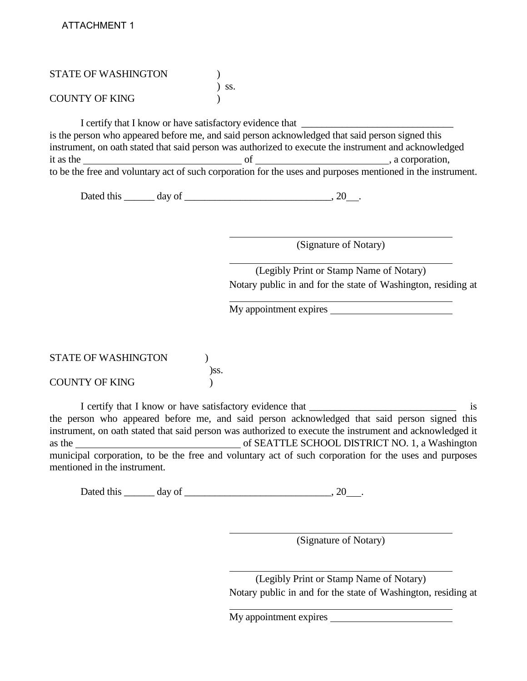| <b>STATE OF WASHINGTON</b> |                                                          |                                                                                                                       |  |
|----------------------------|----------------------------------------------------------|-----------------------------------------------------------------------------------------------------------------------|--|
|                            | SS.                                                      |                                                                                                                       |  |
| <b>COUNTY OF KING</b>      |                                                          |                                                                                                                       |  |
|                            | I certify that I know or have satisfactory evidence that |                                                                                                                       |  |
|                            |                                                          | is the person who appeared before me, and said person acknowledged that said person signed this                       |  |
|                            |                                                          | instrument, on oath stated that said person was authorized to execute the instrument and acknowledged                 |  |
|                            |                                                          | it as the subset of set of set of set of set of set of set of set of set of set of set of set of set of set of $\sim$ |  |
|                            |                                                          | to be the free and voluntary act of such corporation for the uses and purposes mentioned in the instrument.           |  |
|                            |                                                          |                                                                                                                       |  |

(Signature of Notary)

(Legibly Print or Stamp Name of Notary) Notary public in and for the state of Washington, residing at

My appointment expires

| <b>STATE OF WASHINGTON</b> |      |
|----------------------------|------|
|                            | )SS. |
| <b>COUNTY OF KING</b>      |      |

I certify that I know or have satisfactory evidence that \_\_\_\_\_\_\_\_\_\_\_\_\_\_\_\_\_\_\_\_\_\_\_\_\_\_\_\_\_ is the person who appeared before me, and said person acknowledged that said person signed this instrument, on oath stated that said person was authorized to execute the instrument and acknowledged it as the of SEATTLE SCHOOL DISTRICT NO. 1, a Washington municipal corporation, to be the free and voluntary act of such corporation for the uses and purposes mentioned in the instrument.

Dated this  $\_\_\_$  day of  $\_\_\_\_\_\_\_\$ . 20  $\_\_\_\_\$ 

(Signature of Notary)

(Legibly Print or Stamp Name of Notary) Notary public in and for the state of Washington, residing at

My appointment expires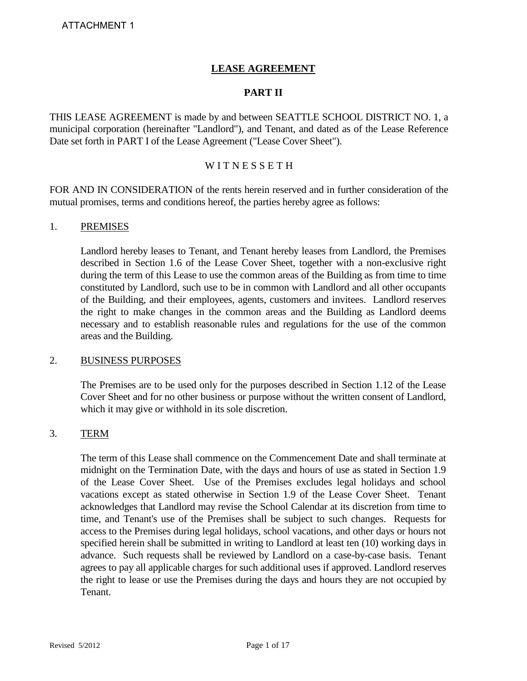# **LEASE AGREEMENT**

#### **PART II**

THIS LEASE AGREEMENT is made by and between SEATTLE SCHOOL DISTRICT NO. 1, a municipal corporation (hereinafter "Landlord"), and Tenant, and dated as of the Lease Reference Date set forth in PART I of the Lease Agreement ("Lease Cover Sheet").

# WITNESSETH

FOR AND IN CONSIDERATION of the rents herein reserved and in further consideration of the mutual promises, terms and conditions hereof, the parties hereby agree as follows:

#### 1. PREMISES

Landlord hereby leases to Tenant, and Tenant hereby leases from Landlord, the Premises described in Section 1.6 of the Lease Cover Sheet, together with a non-exclusive right during the term of this Lease to use the common areas of the Building as from time to time constituted by Landlord, such use to be in common with Landlord and all other occupants of the Building, and their employees, agents, customers and invitees. Landlord reserves the right to make changes in the common areas and the Building as Landlord deems necessary and to establish reasonable rules and regulations for the use of the common areas and the Building.

#### 2. BUSINESS PURPOSES

The Premises are to be used only for the purposes described in Section 1.12 of the Lease Cover Sheet and for no other business or purpose without the written consent of Landlord, which it may give or withhold in its sole discretion.

#### 3. TERM

The term of this Lease shall commence on the Commencement Date and shall terminate at midnight on the Termination Date, with the days and hours of use as stated in Section 1.9 of the Lease Cover Sheet. Use of the Premises excludes legal holidays and school vacations except as stated otherwise in Section 1.9 of the Lease Cover Sheet. Tenant acknowledges that Landlord may revise the School Calendar at its discretion from time to time, and Tenant's use of the Premises shall be subject to such changes. Requests for access to the Premises during legal holidays, school vacations, and other days or hours not specified herein shall be submitted in writing to Landlord at least ten (10) working days in advance. Such requests shall be reviewed by Landlord on a case-by-case basis. Tenant agrees to pay all applicable charges for such additional uses if approved. Landlord reserves the right to lease or use the Premises during the days and hours they are not occupied by **Tenant**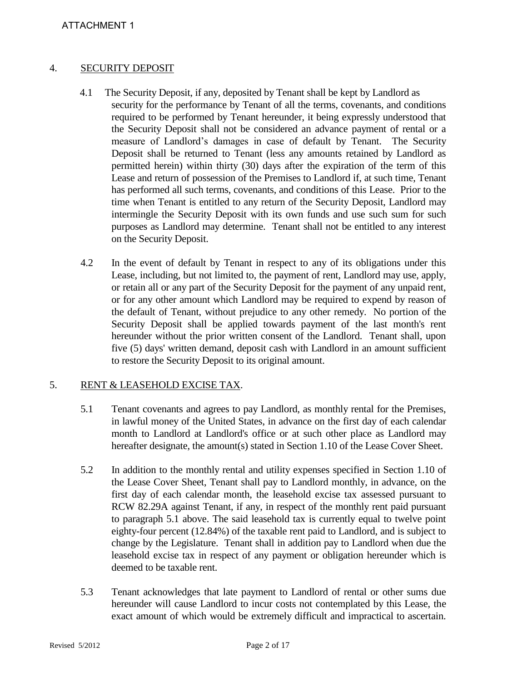#### 4. SECURITY DEPOSIT

- 4.1 The Security Deposit, if any, deposited by Tenant shall be kept by Landlord as security for the performance by Tenant of all the terms, covenants, and conditions required to be performed by Tenant hereunder, it being expressly understood that the Security Deposit shall not be considered an advance payment of rental or a measure of Landlord's damages in case of default by Tenant. The Security Deposit shall be returned to Tenant (less any amounts retained by Landlord as permitted herein) within thirty (30) days after the expiration of the term of this Lease and return of possession of the Premises to Landlord if, at such time, Tenant has performed all such terms, covenants, and conditions of this Lease. Prior to the time when Tenant is entitled to any return of the Security Deposit, Landlord may intermingle the Security Deposit with its own funds and use such sum for such purposes as Landlord may determine. Tenant shall not be entitled to any interest on the Security Deposit.
- 4.2 In the event of default by Tenant in respect to any of its obligations under this Lease, including, but not limited to, the payment of rent, Landlord may use, apply, or retain all or any part of the Security Deposit for the payment of any unpaid rent, or for any other amount which Landlord may be required to expend by reason of the default of Tenant, without prejudice to any other remedy. No portion of the Security Deposit shall be applied towards payment of the last month's rent hereunder without the prior written consent of the Landlord. Tenant shall, upon five (5) days' written demand, deposit cash with Landlord in an amount sufficient to restore the Security Deposit to its original amount.

#### 5. RENT & LEASEHOLD EXCISE TAX.

- 5.1 Tenant covenants and agrees to pay Landlord, as monthly rental for the Premises, in lawful money of the United States, in advance on the first day of each calendar month to Landlord at Landlord's office or at such other place as Landlord may hereafter designate, the amount(s) stated in Section 1.10 of the Lease Cover Sheet.
- 5.2 In addition to the monthly rental and utility expenses specified in Section 1.10 of the Lease Cover Sheet, Tenant shall pay to Landlord monthly, in advance, on the first day of each calendar month, the leasehold excise tax assessed pursuant to RCW 82.29A against Tenant, if any, in respect of the monthly rent paid pursuant to paragraph 5.1 above. The said leasehold tax is currently equal to twelve point eighty-four percent (12.84%) of the taxable rent paid to Landlord, and is subject to change by the Legislature. Tenant shall in addition pay to Landlord when due the leasehold excise tax in respect of any payment or obligation hereunder which is deemed to be taxable rent.
- 5.3 Tenant acknowledges that late payment to Landlord of rental or other sums due hereunder will cause Landlord to incur costs not contemplated by this Lease, the exact amount of which would be extremely difficult and impractical to ascertain.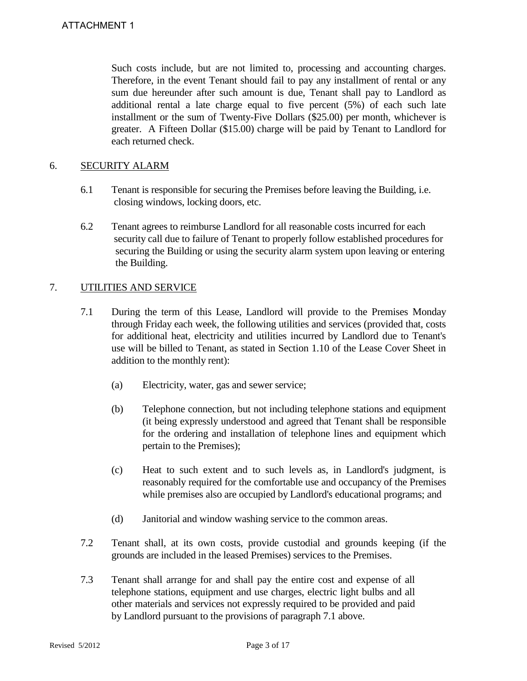Such costs include, but are not limited to, processing and accounting charges. Therefore, in the event Tenant should fail to pay any installment of rental or any sum due hereunder after such amount is due, Tenant shall pay to Landlord as additional rental a late charge equal to five percent (5%) of each such late installment or the sum of Twenty-Five Dollars (\$25.00) per month, whichever is greater. A Fifteen Dollar (\$15.00) charge will be paid by Tenant to Landlord for each returned check.

# 6. SECURITY ALARM

- 6.1 Tenant is responsible for securing the Premises before leaving the Building, i.e. closing windows, locking doors, etc.
- 6.2 Tenant agrees to reimburse Landlord for all reasonable costs incurred for each security call due to failure of Tenant to properly follow established procedures for securing the Building or using the security alarm system upon leaving or entering the Building.

# 7. UTILITIES AND SERVICE

- 7.1 During the term of this Lease, Landlord will provide to the Premises Monday through Friday each week, the following utilities and services (provided that, costs for additional heat, electricity and utilities incurred by Landlord due to Tenant's use will be billed to Tenant, as stated in Section 1.10 of the Lease Cover Sheet in addition to the monthly rent):
	- (a) Electricity, water, gas and sewer service;
	- (b) Telephone connection, but not including telephone stations and equipment (it being expressly understood and agreed that Tenant shall be responsible for the ordering and installation of telephone lines and equipment which pertain to the Premises);
	- (c) Heat to such extent and to such levels as, in Landlord's judgment, is reasonably required for the comfortable use and occupancy of the Premises while premises also are occupied by Landlord's educational programs; and
	- (d) Janitorial and window washing service to the common areas.
- 7.2 Tenant shall, at its own costs, provide custodial and grounds keeping (if the grounds are included in the leased Premises) services to the Premises.
- 7.3 Tenant shall arrange for and shall pay the entire cost and expense of all telephone stations, equipment and use charges, electric light bulbs and all other materials and services not expressly required to be provided and paid by Landlord pursuant to the provisions of paragraph 7.1 above.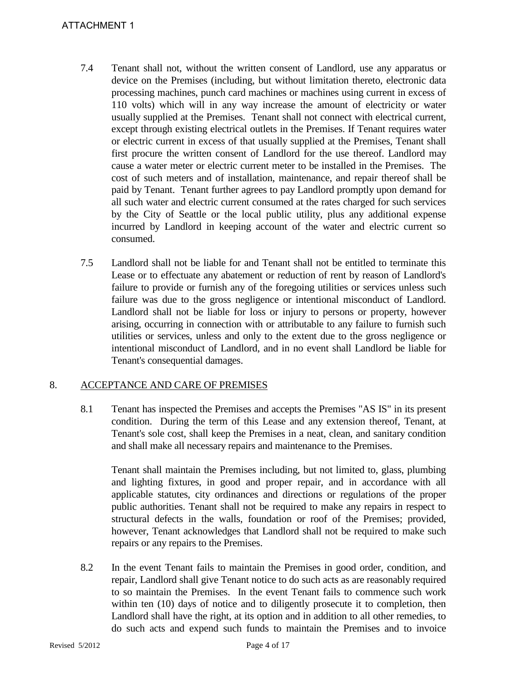# ATTACHMENT 1

- 7.4 Tenant shall not, without the written consent of Landlord, use any apparatus or device on the Premises (including, but without limitation thereto, electronic data processing machines, punch card machines or machines using current in excess of 110 volts) which will in any way increase the amount of electricity or water usually supplied at the Premises. Tenant shall not connect with electrical current, except through existing electrical outlets in the Premises. If Tenant requires water or electric current in excess of that usually supplied at the Premises, Tenant shall first procure the written consent of Landlord for the use thereof. Landlord may cause a water meter or electric current meter to be installed in the Premises. The cost of such meters and of installation, maintenance, and repair thereof shall be paid by Tenant. Tenant further agrees to pay Landlord promptly upon demand for all such water and electric current consumed at the rates charged for such services by the City of Seattle or the local public utility, plus any additional expense incurred by Landlord in keeping account of the water and electric current so consumed.
- 7.5 Landlord shall not be liable for and Tenant shall not be entitled to terminate this Lease or to effectuate any abatement or reduction of rent by reason of Landlord's failure to provide or furnish any of the foregoing utilities or services unless such failure was due to the gross negligence or intentional misconduct of Landlord. Landlord shall not be liable for loss or injury to persons or property, however arising, occurring in connection with or attributable to any failure to furnish such utilities or services, unless and only to the extent due to the gross negligence or intentional misconduct of Landlord, and in no event shall Landlord be liable for Tenant's consequential damages.

# 8. ACCEPTANCE AND CARE OF PREMISES

8.1 Tenant has inspected the Premises and accepts the Premises "AS IS" in its present condition. During the term of this Lease and any extension thereof, Tenant, at Tenant's sole cost, shall keep the Premises in a neat, clean, and sanitary condition and shall make all necessary repairs and maintenance to the Premises.

Tenant shall maintain the Premises including, but not limited to, glass, plumbing and lighting fixtures, in good and proper repair, and in accordance with all applicable statutes, city ordinances and directions or regulations of the proper public authorities. Tenant shall not be required to make any repairs in respect to structural defects in the walls, foundation or roof of the Premises; provided, however, Tenant acknowledges that Landlord shall not be required to make such repairs or any repairs to the Premises.

8.2 In the event Tenant fails to maintain the Premises in good order, condition, and repair, Landlord shall give Tenant notice to do such acts as are reasonably required to so maintain the Premises. In the event Tenant fails to commence such work within ten (10) days of notice and to diligently prosecute it to completion, then Landlord shall have the right, at its option and in addition to all other remedies, to do such acts and expend such funds to maintain the Premises and to invoice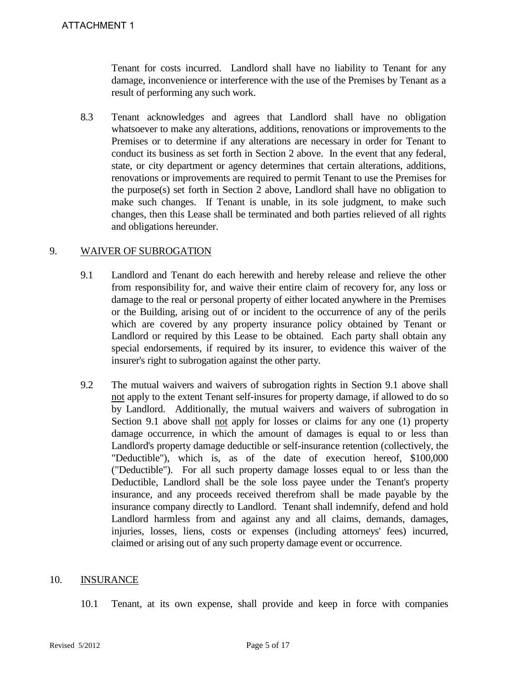Tenant for costs incurred. Landlord shall have no liability to Tenant for any damage, inconvenience or interference with the use of the Premises by Tenant as a result of performing any such work.

8.3 Tenant acknowledges and agrees that Landlord shall have no obligation whatsoever to make any alterations, additions, renovations or improvements to the Premises or to determine if any alterations are necessary in order for Tenant to conduct its business as set forth in Section 2 above. In the event that any federal, state, or city department or agency determines that certain alterations, additions, renovations or improvements are required to permit Tenant to use the Premises for the purpose(s) set forth in Section 2 above, Landlord shall have no obligation to make such changes. If Tenant is unable, in its sole judgment, to make such changes, then this Lease shall be terminated and both parties relieved of all rights and obligations hereunder.

#### 9. WAIVER OF SUBROGATION

- 9.1 Landlord and Tenant do each herewith and hereby release and relieve the other from responsibility for, and waive their entire claim of recovery for, any loss or damage to the real or personal property of either located anywhere in the Premises or the Building, arising out of or incident to the occurrence of any of the perils which are covered by any property insurance policy obtained by Tenant or Landlord or required by this Lease to be obtained. Each party shall obtain any special endorsements, if required by its insurer, to evidence this waiver of the insurer's right to subrogation against the other party.
- 9.2 The mutual waivers and waivers of subrogation rights in Section 9.1 above shall not apply to the extent Tenant self-insures for property damage, if allowed to do so by Landlord. Additionally, the mutual waivers and waivers of subrogation in Section 9.1 above shall not apply for losses or claims for any one (1) property damage occurrence, in which the amount of damages is equal to or less than Landlord's property damage deductible or self-insurance retention (collectively, the "Deductible"), which is, as of the date of execution hereof, \$100,000 ("Deductible"). For all such property damage losses equal to or less than the Deductible, Landlord shall be the sole loss payee under the Tenant's property insurance, and any proceeds received therefrom shall be made payable by the insurance company directly to Landlord. Tenant shall indemnify, defend and hold Landlord harmless from and against any and all claims, demands, damages, injuries, losses, liens, costs or expenses (including attorneys' fees) incurred, claimed or arising out of any such property damage event or occurrence.

#### 10. INSURANCE

10.1 Tenant, at its own expense, shall provide and keep in force with companies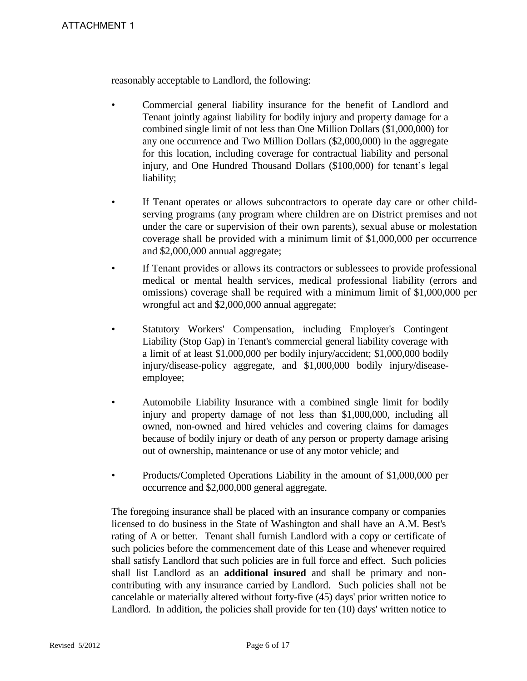reasonably acceptable to Landlord, the following:

- Commercial general liability insurance for the benefit of Landlord and Tenant jointly against liability for bodily injury and property damage for a combined single limit of not less than One Million Dollars (\$1,000,000) for any one occurrence and Two Million Dollars (\$2,000,000) in the aggregate for this location, including coverage for contractual liability and personal injury, and One Hundred Thousand Dollars (\$100,000) for tenant's legal liability;
- If Tenant operates or allows subcontractors to operate day care or other childserving programs (any program where children are on District premises and not under the care or supervision of their own parents), sexual abuse or molestation coverage shall be provided with a minimum limit of \$1,000,000 per occurrence and \$2,000,000 annual aggregate;
- If Tenant provides or allows its contractors or sublessees to provide professional medical or mental health services, medical professional liability (errors and omissions) coverage shall be required with a minimum limit of \$1,000,000 per wrongful act and \$2,000,000 annual aggregate;
- Statutory Workers' Compensation, including Employer's Contingent Liability (Stop Gap) in Tenant's commercial general liability coverage with a limit of at least \$1,000,000 per bodily injury/accident; \$1,000,000 bodily injury/disease-policy aggregate, and \$1,000,000 bodily injury/diseaseemployee;
- Automobile Liability Insurance with a combined single limit for bodily injury and property damage of not less than \$1,000,000, including all owned, non-owned and hired vehicles and covering claims for damages because of bodily injury or death of any person or property damage arising out of ownership, maintenance or use of any motor vehicle; and
- Products/Completed Operations Liability in the amount of \$1,000,000 per occurrence and \$2,000,000 general aggregate.

The foregoing insurance shall be placed with an insurance company or companies licensed to do business in the State of Washington and shall have an A.M. Best's rating of A or better. Tenant shall furnish Landlord with a copy or certificate of such policies before the commencement date of this Lease and whenever required shall satisfy Landlord that such policies are in full force and effect. Such policies shall list Landlord as an **additional insured** and shall be primary and noncontributing with any insurance carried by Landlord. Such policies shall not be cancelable or materially altered without forty-five (45) days' prior written notice to Landlord. In addition, the policies shall provide for ten (10) days' written notice to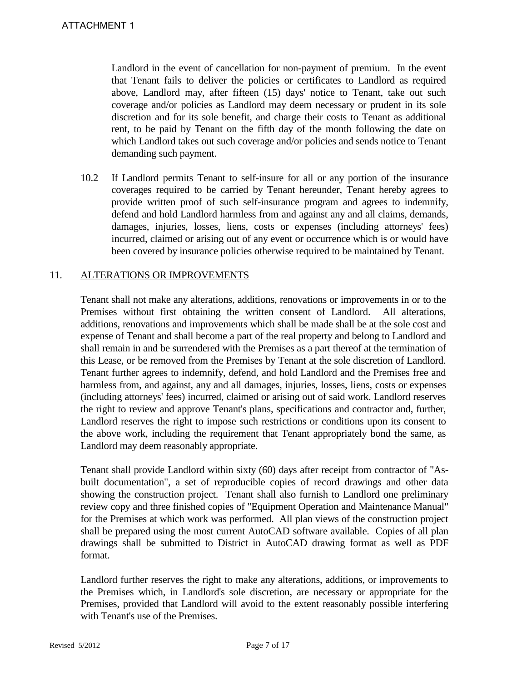Landlord in the event of cancellation for non-payment of premium. In the event that Tenant fails to deliver the policies or certificates to Landlord as required above, Landlord may, after fifteen (15) days' notice to Tenant, take out such coverage and/or policies as Landlord may deem necessary or prudent in its sole discretion and for its sole benefit, and charge their costs to Tenant as additional rent, to be paid by Tenant on the fifth day of the month following the date on which Landlord takes out such coverage and/or policies and sends notice to Tenant demanding such payment.

10.2 If Landlord permits Tenant to self-insure for all or any portion of the insurance coverages required to be carried by Tenant hereunder, Tenant hereby agrees to provide written proof of such self-insurance program and agrees to indemnify, defend and hold Landlord harmless from and against any and all claims, demands, damages, injuries, losses, liens, costs or expenses (including attorneys' fees) incurred, claimed or arising out of any event or occurrence which is or would have been covered by insurance policies otherwise required to be maintained by Tenant.

#### 11. ALTERATIONS OR IMPROVEMENTS

Tenant shall not make any alterations, additions, renovations or improvements in or to the Premises without first obtaining the written consent of Landlord. All alterations, additions, renovations and improvements which shall be made shall be at the sole cost and expense of Tenant and shall become a part of the real property and belong to Landlord and shall remain in and be surrendered with the Premises as a part thereof at the termination of this Lease, or be removed from the Premises by Tenant at the sole discretion of Landlord. Tenant further agrees to indemnify, defend, and hold Landlord and the Premises free and harmless from, and against, any and all damages, injuries, losses, liens, costs or expenses (including attorneys' fees) incurred, claimed or arising out of said work. Landlord reserves the right to review and approve Tenant's plans, specifications and contractor and, further, Landlord reserves the right to impose such restrictions or conditions upon its consent to the above work, including the requirement that Tenant appropriately bond the same, as Landlord may deem reasonably appropriate.

Tenant shall provide Landlord within sixty (60) days after receipt from contractor of "Asbuilt documentation", a set of reproducible copies of record drawings and other data showing the construction project. Tenant shall also furnish to Landlord one preliminary review copy and three finished copies of "Equipment Operation and Maintenance Manual" for the Premises at which work was performed. All plan views of the construction project shall be prepared using the most current AutoCAD software available. Copies of all plan drawings shall be submitted to District in AutoCAD drawing format as well as PDF format.

Landlord further reserves the right to make any alterations, additions, or improvements to the Premises which, in Landlord's sole discretion, are necessary or appropriate for the Premises, provided that Landlord will avoid to the extent reasonably possible interfering with Tenant's use of the Premises.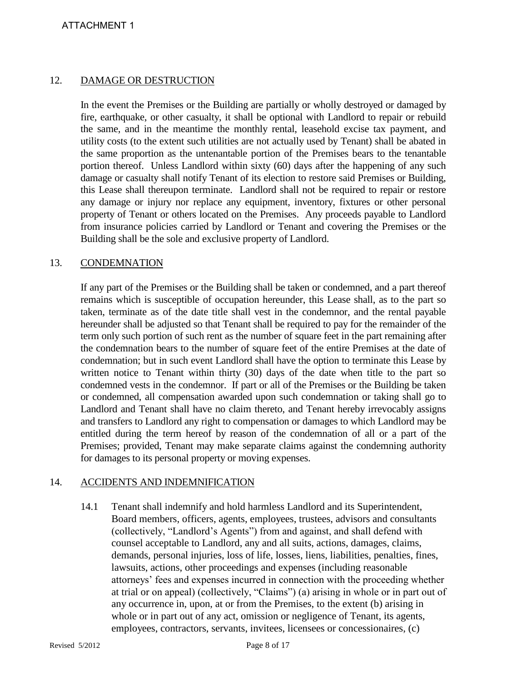# 12. DAMAGE OR DESTRUCTION

In the event the Premises or the Building are partially or wholly destroyed or damaged by fire, earthquake, or other casualty, it shall be optional with Landlord to repair or rebuild the same, and in the meantime the monthly rental, leasehold excise tax payment, and utility costs (to the extent such utilities are not actually used by Tenant) shall be abated in the same proportion as the untenantable portion of the Premises bears to the tenantable portion thereof. Unless Landlord within sixty (60) days after the happening of any such damage or casualty shall notify Tenant of its election to restore said Premises or Building, this Lease shall thereupon terminate. Landlord shall not be required to repair or restore any damage or injury nor replace any equipment, inventory, fixtures or other personal property of Tenant or others located on the Premises. Any proceeds payable to Landlord from insurance policies carried by Landlord or Tenant and covering the Premises or the Building shall be the sole and exclusive property of Landlord.

#### 13. CONDEMNATION

If any part of the Premises or the Building shall be taken or condemned, and a part thereof remains which is susceptible of occupation hereunder, this Lease shall, as to the part so taken, terminate as of the date title shall vest in the condemnor, and the rental payable hereunder shall be adjusted so that Tenant shall be required to pay for the remainder of the term only such portion of such rent as the number of square feet in the part remaining after the condemnation bears to the number of square feet of the entire Premises at the date of condemnation; but in such event Landlord shall have the option to terminate this Lease by written notice to Tenant within thirty (30) days of the date when title to the part so condemned vests in the condemnor. If part or all of the Premises or the Building be taken or condemned, all compensation awarded upon such condemnation or taking shall go to Landlord and Tenant shall have no claim thereto, and Tenant hereby irrevocably assigns and transfers to Landlord any right to compensation or damages to which Landlord may be entitled during the term hereof by reason of the condemnation of all or a part of the Premises; provided, Tenant may make separate claims against the condemning authority for damages to its personal property or moving expenses.

#### 14. ACCIDENTS AND INDEMNIFICATION

14.1 Tenant shall indemnify and hold harmless Landlord and its Superintendent, Board members, officers, agents, employees, trustees, advisors and consultants (collectively, "Landlord's Agents") from and against, and shall defend with counsel acceptable to Landlord, any and all suits, actions, damages, claims, demands, personal injuries, loss of life, losses, liens, liabilities, penalties, fines, lawsuits, actions, other proceedings and expenses (including reasonable attorneys' fees and expenses incurred in connection with the proceeding whether at trial or on appeal) (collectively, "Claims") (a) arising in whole or in part out of any occurrence in, upon, at or from the Premises, to the extent (b) arising in whole or in part out of any act, omission or negligence of Tenant, its agents, employees, contractors, servants, invitees, licensees or concessionaires, (c)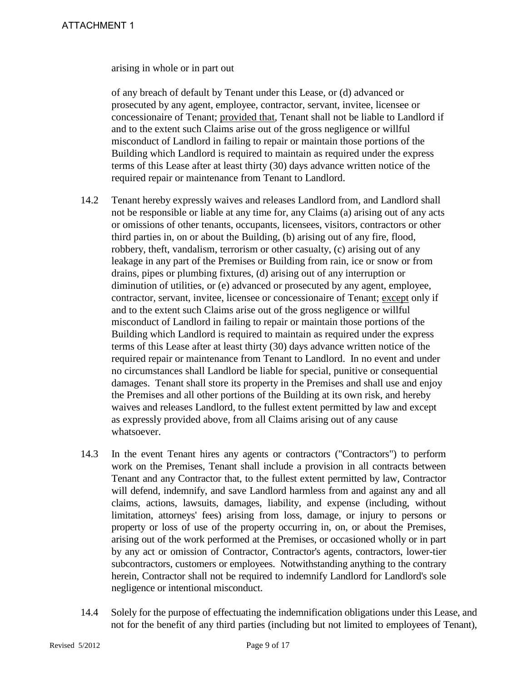arising in whole or in part out

of any breach of default by Tenant under this Lease, or (d) advanced or prosecuted by any agent, employee, contractor, servant, invitee, licensee or concessionaire of Tenant; provided that, Tenant shall not be liable to Landlord if and to the extent such Claims arise out of the gross negligence or willful misconduct of Landlord in failing to repair or maintain those portions of the Building which Landlord is required to maintain as required under the express terms of this Lease after at least thirty (30) days advance written notice of the required repair or maintenance from Tenant to Landlord.

- 14.2 Tenant hereby expressly waives and releases Landlord from, and Landlord shall not be responsible or liable at any time for, any Claims (a) arising out of any acts or omissions of other tenants, occupants, licensees, visitors, contractors or other third parties in, on or about the Building, (b) arising out of any fire, flood, robbery, theft, vandalism, terrorism or other casualty, (c) arising out of any leakage in any part of the Premises or Building from rain, ice or snow or from drains, pipes or plumbing fixtures, (d) arising out of any interruption or diminution of utilities, or (e) advanced or prosecuted by any agent, employee, contractor, servant, invitee, licensee or concessionaire of Tenant; except only if and to the extent such Claims arise out of the gross negligence or willful misconduct of Landlord in failing to repair or maintain those portions of the Building which Landlord is required to maintain as required under the express terms of this Lease after at least thirty (30) days advance written notice of the required repair or maintenance from Tenant to Landlord. In no event and under no circumstances shall Landlord be liable for special, punitive or consequential damages. Tenant shall store its property in the Premises and shall use and enjoy the Premises and all other portions of the Building at its own risk, and hereby waives and releases Landlord, to the fullest extent permitted by law and except as expressly provided above, from all Claims arising out of any cause whatsoever.
- 14.3 In the event Tenant hires any agents or contractors ("Contractors") to perform work on the Premises, Tenant shall include a provision in all contracts between Tenant and any Contractor that, to the fullest extent permitted by law, Contractor will defend, indemnify, and save Landlord harmless from and against any and all claims, actions, lawsuits, damages, liability, and expense (including, without limitation, attorneys' fees) arising from loss, damage, or injury to persons or property or loss of use of the property occurring in, on, or about the Premises, arising out of the work performed at the Premises, or occasioned wholly or in part by any act or omission of Contractor, Contractor's agents, contractors, lower-tier subcontractors, customers or employees. Notwithstanding anything to the contrary herein, Contractor shall not be required to indemnify Landlord for Landlord's sole negligence or intentional misconduct.
- 14.4 Solely for the purpose of effectuating the indemnification obligations under this Lease, and not for the benefit of any third parties (including but not limited to employees of Tenant),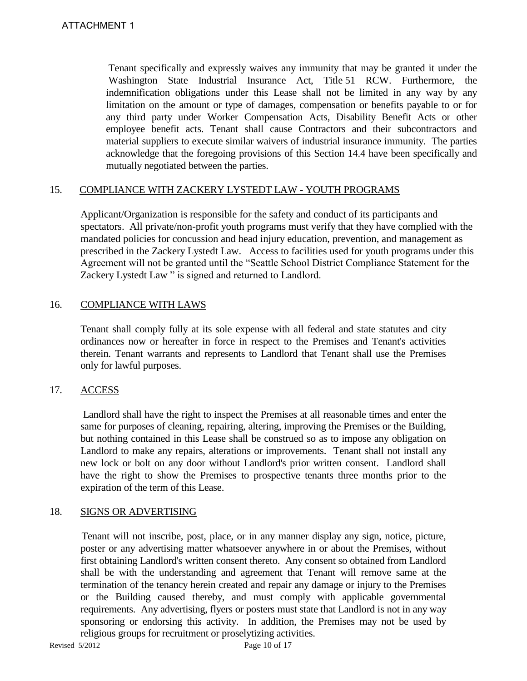Tenant specifically and expressly waives any immunity that may be granted it under the Washington State Industrial Insurance Act, Title 51 RCW. Furthermore, the indemnification obligations under this Lease shall not be limited in any way by any limitation on the amount or type of damages, compensation or benefits payable to or for any third party under Worker Compensation Acts, Disability Benefit Acts or other employee benefit acts. Tenant shall cause Contractors and their subcontractors and material suppliers to execute similar waivers of industrial insurance immunity. The parties acknowledge that the foregoing provisions of this Section 14.4 have been specifically and mutually negotiated between the parties.

# 15. COMPLIANCE WITH ZACKERY LYSTEDT LAW - YOUTH PROGRAMS

Applicant/Organization is responsible for the safety and conduct of its participants and spectators. All private/non-profit youth programs must verify that they have complied with the mandated policies for concussion and head injury education, prevention, and management as prescribed in the Zackery Lystedt Law. Access to facilities used for youth programs under this Agreement will not be granted until the "Seattle School District Compliance Statement for the Zackery Lystedt Law " is signed and returned to Landlord.

# 16. COMPLIANCE WITH LAWS

 Tenant shall comply fully at its sole expense with all federal and state statutes and city ordinances now or hereafter in force in respect to the Premises and Tenant's activities therein. Tenant warrants and represents to Landlord that Tenant shall use the Premises only for lawful purposes.

#### 17. ACCESS

 Landlord shall have the right to inspect the Premises at all reasonable times and enter the same for purposes of cleaning, repairing, altering, improving the Premises or the Building, but nothing contained in this Lease shall be construed so as to impose any obligation on Landlord to make any repairs, alterations or improvements. Tenant shall not install any new lock or bolt on any door without Landlord's prior written consent. Landlord shall have the right to show the Premises to prospective tenants three months prior to the expiration of the term of this Lease.

#### 18. SIGNS OR ADVERTISING

 Tenant will not inscribe, post, place, or in any manner display any sign, notice, picture, poster or any advertising matter whatsoever anywhere in or about the Premises, without first obtaining Landlord's written consent thereto. Any consent so obtained from Landlord shall be with the understanding and agreement that Tenant will remove same at the termination of the tenancy herein created and repair any damage or injury to the Premises or the Building caused thereby, and must comply with applicable governmental requirements. Any advertising, flyers or posters must state that Landlord is not in any way sponsoring or endorsing this activity. In addition, the Premises may not be used by religious groups for recruitment or proselytizing activities.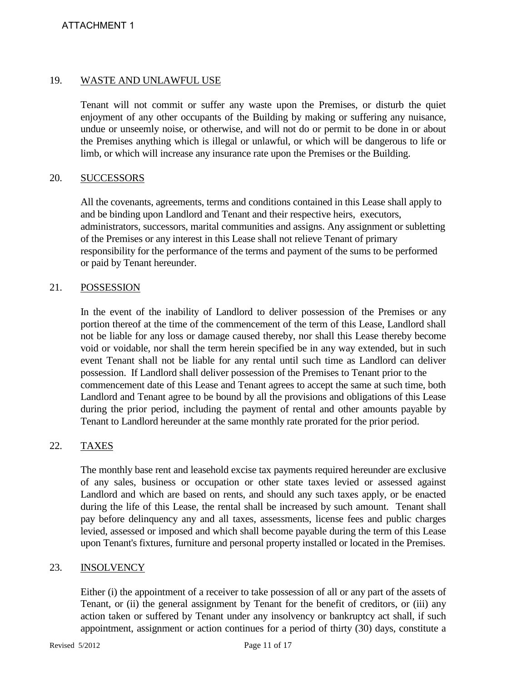#### 19. WASTE AND UNLAWFUL USE

Tenant will not commit or suffer any waste upon the Premises, or disturb the quiet enjoyment of any other occupants of the Building by making or suffering any nuisance, undue or unseemly noise, or otherwise, and will not do or permit to be done in or about the Premises anything which is illegal or unlawful, or which will be dangerous to life or limb, or which will increase any insurance rate upon the Premises or the Building.

#### 20. SUCCESSORS

All the covenants, agreements, terms and conditions contained in this Lease shall apply to and be binding upon Landlord and Tenant and their respective heirs, executors, administrators, successors, marital communities and assigns. Any assignment or subletting of the Premises or any interest in this Lease shall not relieve Tenant of primary responsibility for the performance of the terms and payment of the sums to be performed or paid by Tenant hereunder.

#### 21. POSSESSION

In the event of the inability of Landlord to deliver possession of the Premises or any portion thereof at the time of the commencement of the term of this Lease, Landlord shall not be liable for any loss or damage caused thereby, nor shall this Lease thereby become void or voidable, nor shall the term herein specified be in any way extended, but in such event Tenant shall not be liable for any rental until such time as Landlord can deliver possession. If Landlord shall deliver possession of the Premises to Tenant prior to the commencement date of this Lease and Tenant agrees to accept the same at such time, both Landlord and Tenant agree to be bound by all the provisions and obligations of this Lease during the prior period, including the payment of rental and other amounts payable by Tenant to Landlord hereunder at the same monthly rate prorated for the prior period.

#### 22. TAXES

The monthly base rent and leasehold excise tax payments required hereunder are exclusive of any sales, business or occupation or other state taxes levied or assessed against Landlord and which are based on rents, and should any such taxes apply, or be enacted during the life of this Lease, the rental shall be increased by such amount. Tenant shall pay before delinquency any and all taxes, assessments, license fees and public charges levied, assessed or imposed and which shall become payable during the term of this Lease upon Tenant's fixtures, furniture and personal property installed or located in the Premises.

#### 23. INSOLVENCY

Either (i) the appointment of a receiver to take possession of all or any part of the assets of Tenant, or (ii) the general assignment by Tenant for the benefit of creditors, or (iii) any action taken or suffered by Tenant under any insolvency or bankruptcy act shall, if such appointment, assignment or action continues for a period of thirty (30) days, constitute a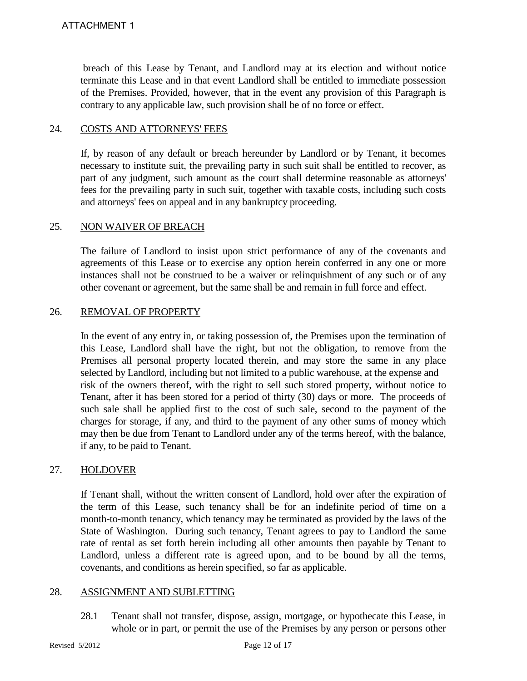breach of this Lease by Tenant, and Landlord may at its election and without notice terminate this Lease and in that event Landlord shall be entitled to immediate possession of the Premises. Provided, however, that in the event any provision of this Paragraph is contrary to any applicable law, such provision shall be of no force or effect.

#### 24. COSTS AND ATTORNEYS' FEES

If, by reason of any default or breach hereunder by Landlord or by Tenant, it becomes necessary to institute suit, the prevailing party in such suit shall be entitled to recover, as part of any judgment, such amount as the court shall determine reasonable as attorneys' fees for the prevailing party in such suit, together with taxable costs, including such costs and attorneys' fees on appeal and in any bankruptcy proceeding.

#### 25. NON WAIVER OF BREACH

The failure of Landlord to insist upon strict performance of any of the covenants and agreements of this Lease or to exercise any option herein conferred in any one or more instances shall not be construed to be a waiver or relinquishment of any such or of any other covenant or agreement, but the same shall be and remain in full force and effect.

# 26. REMOVAL OF PROPERTY

In the event of any entry in, or taking possession of, the Premises upon the termination of this Lease, Landlord shall have the right, but not the obligation, to remove from the Premises all personal property located therein, and may store the same in any place selected by Landlord, including but not limited to a public warehouse, at the expense and risk of the owners thereof, with the right to sell such stored property, without notice to Tenant, after it has been stored for a period of thirty (30) days or more. The proceeds of such sale shall be applied first to the cost of such sale, second to the payment of the charges for storage, if any, and third to the payment of any other sums of money which may then be due from Tenant to Landlord under any of the terms hereof, with the balance, if any, to be paid to Tenant.

#### 27. HOLDOVER

If Tenant shall, without the written consent of Landlord, hold over after the expiration of the term of this Lease, such tenancy shall be for an indefinite period of time on a month-to-month tenancy, which tenancy may be terminated as provided by the laws of the State of Washington. During such tenancy, Tenant agrees to pay to Landlord the same rate of rental as set forth herein including all other amounts then payable by Tenant to Landlord, unless a different rate is agreed upon, and to be bound by all the terms, covenants, and conditions as herein specified, so far as applicable.

#### 28. ASSIGNMENT AND SUBLETTING

28.1 Tenant shall not transfer, dispose, assign, mortgage, or hypothecate this Lease, in whole or in part, or permit the use of the Premises by any person or persons other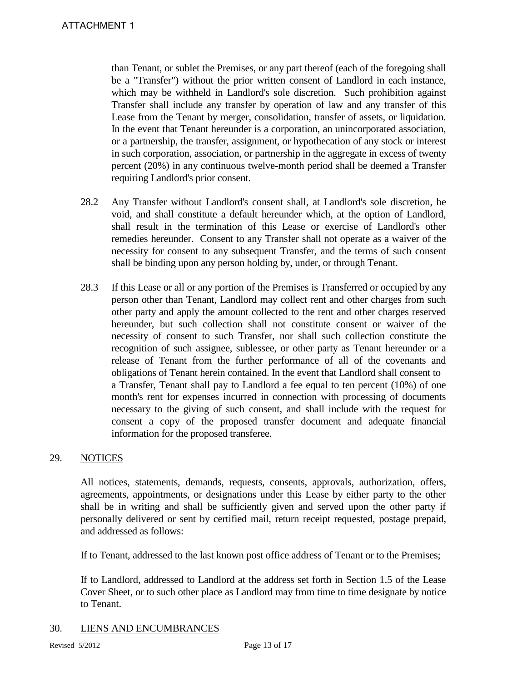than Tenant, or sublet the Premises, or any part thereof (each of the foregoing shall be a "Transfer") without the prior written consent of Landlord in each instance, which may be withheld in Landlord's sole discretion. Such prohibition against Transfer shall include any transfer by operation of law and any transfer of this Lease from the Tenant by merger, consolidation, transfer of assets, or liquidation. In the event that Tenant hereunder is a corporation, an unincorporated association, or a partnership, the transfer, assignment, or hypothecation of any stock or interest in such corporation, association, or partnership in the aggregate in excess of twenty percent (20%) in any continuous twelve-month period shall be deemed a Transfer requiring Landlord's prior consent.

- 28.2 Any Transfer without Landlord's consent shall, at Landlord's sole discretion, be void, and shall constitute a default hereunder which, at the option of Landlord, shall result in the termination of this Lease or exercise of Landlord's other remedies hereunder. Consent to any Transfer shall not operate as a waiver of the necessity for consent to any subsequent Transfer, and the terms of such consent shall be binding upon any person holding by, under, or through Tenant.
- 28.3 If this Lease or all or any portion of the Premises is Transferred or occupied by any person other than Tenant, Landlord may collect rent and other charges from such other party and apply the amount collected to the rent and other charges reserved hereunder, but such collection shall not constitute consent or waiver of the necessity of consent to such Transfer, nor shall such collection constitute the recognition of such assignee, sublessee, or other party as Tenant hereunder or a release of Tenant from the further performance of all of the covenants and obligations of Tenant herein contained. In the event that Landlord shall consent to a Transfer, Tenant shall pay to Landlord a fee equal to ten percent (10%) of one month's rent for expenses incurred in connection with processing of documents necessary to the giving of such consent, and shall include with the request for consent a copy of the proposed transfer document and adequate financial information for the proposed transferee.

#### 29. NOTICES

All notices, statements, demands, requests, consents, approvals, authorization, offers, agreements, appointments, or designations under this Lease by either party to the other shall be in writing and shall be sufficiently given and served upon the other party if personally delivered or sent by certified mail, return receipt requested, postage prepaid, and addressed as follows:

If to Tenant, addressed to the last known post office address of Tenant or to the Premises;

If to Landlord, addressed to Landlord at the address set forth in Section 1.5 of the Lease Cover Sheet, or to such other place as Landlord may from time to time designate by notice to Tenant.

#### 30. LIENS AND ENCUMBRANCES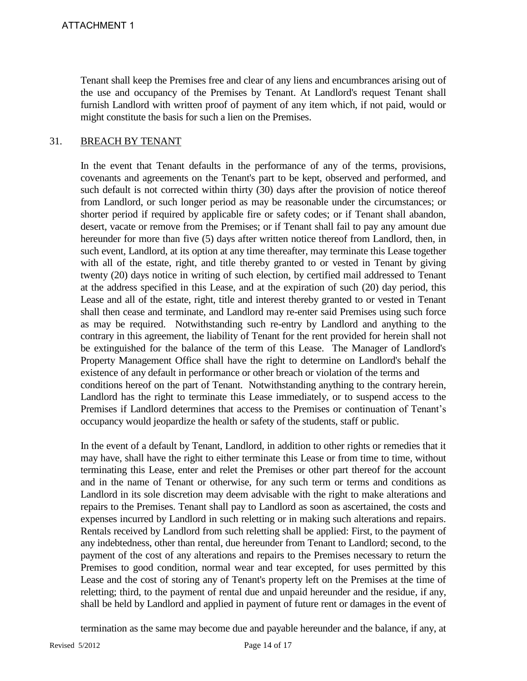Tenant shall keep the Premises free and clear of any liens and encumbrances arising out of the use and occupancy of the Premises by Tenant. At Landlord's request Tenant shall furnish Landlord with written proof of payment of any item which, if not paid, would or might constitute the basis for such a lien on the Premises.

#### 31. BREACH BY TENANT

In the event that Tenant defaults in the performance of any of the terms, provisions, covenants and agreements on the Tenant's part to be kept, observed and performed, and such default is not corrected within thirty (30) days after the provision of notice thereof from Landlord, or such longer period as may be reasonable under the circumstances; or shorter period if required by applicable fire or safety codes; or if Tenant shall abandon, desert, vacate or remove from the Premises; or if Tenant shall fail to pay any amount due hereunder for more than five (5) days after written notice thereof from Landlord, then, in such event, Landlord, at its option at any time thereafter, may terminate this Lease together with all of the estate, right, and title thereby granted to or vested in Tenant by giving twenty (20) days notice in writing of such election, by certified mail addressed to Tenant at the address specified in this Lease, and at the expiration of such (20) day period, this Lease and all of the estate, right, title and interest thereby granted to or vested in Tenant shall then cease and terminate, and Landlord may re-enter said Premises using such force as may be required. Notwithstanding such re-entry by Landlord and anything to the contrary in this agreement, the liability of Tenant for the rent provided for herein shall not be extinguished for the balance of the term of this Lease. The Manager of Landlord's Property Management Office shall have the right to determine on Landlord's behalf the existence of any default in performance or other breach or violation of the terms and conditions hereof on the part of Tenant. Notwithstanding anything to the contrary herein, Landlord has the right to terminate this Lease immediately, or to suspend access to the Premises if Landlord determines that access to the Premises or continuation of Tenant's occupancy would jeopardize the health or safety of the students, staff or public.

In the event of a default by Tenant, Landlord, in addition to other rights or remedies that it may have, shall have the right to either terminate this Lease or from time to time, without terminating this Lease, enter and relet the Premises or other part thereof for the account and in the name of Tenant or otherwise, for any such term or terms and conditions as Landlord in its sole discretion may deem advisable with the right to make alterations and repairs to the Premises. Tenant shall pay to Landlord as soon as ascertained, the costs and expenses incurred by Landlord in such reletting or in making such alterations and repairs. Rentals received by Landlord from such reletting shall be applied: First, to the payment of any indebtedness, other than rental, due hereunder from Tenant to Landlord; second, to the payment of the cost of any alterations and repairs to the Premises necessary to return the Premises to good condition, normal wear and tear excepted, for uses permitted by this Lease and the cost of storing any of Tenant's property left on the Premises at the time of reletting; third, to the payment of rental due and unpaid hereunder and the residue, if any, shall be held by Landlord and applied in payment of future rent or damages in the event of

termination as the same may become due and payable hereunder and the balance, if any, at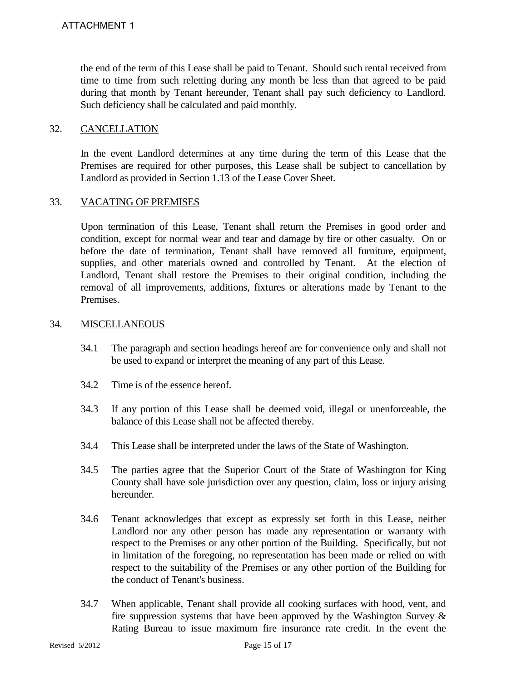the end of the term of this Lease shall be paid to Tenant. Should such rental received from time to time from such reletting during any month be less than that agreed to be paid during that month by Tenant hereunder, Tenant shall pay such deficiency to Landlord. Such deficiency shall be calculated and paid monthly.

#### 32. CANCELLATION

In the event Landlord determines at any time during the term of this Lease that the Premises are required for other purposes, this Lease shall be subject to cancellation by Landlord as provided in Section 1.13 of the Lease Cover Sheet.

#### 33. VACATING OF PREMISES

Upon termination of this Lease, Tenant shall return the Premises in good order and condition, except for normal wear and tear and damage by fire or other casualty. On or before the date of termination, Tenant shall have removed all furniture, equipment, supplies, and other materials owned and controlled by Tenant. At the election of Landlord, Tenant shall restore the Premises to their original condition, including the removal of all improvements, additions, fixtures or alterations made by Tenant to the Premises.

#### 34. MISCELLANEOUS

- 34.1 The paragraph and section headings hereof are for convenience only and shall not be used to expand or interpret the meaning of any part of this Lease.
- 34.2 Time is of the essence hereof.
- 34.3 If any portion of this Lease shall be deemed void, illegal or unenforceable, the balance of this Lease shall not be affected thereby.
- 34.4 This Lease shall be interpreted under the laws of the State of Washington.
- 34.5 The parties agree that the Superior Court of the State of Washington for King County shall have sole jurisdiction over any question, claim, loss or injury arising hereunder.
- 34.6 Tenant acknowledges that except as expressly set forth in this Lease, neither Landlord nor any other person has made any representation or warranty with respect to the Premises or any other portion of the Building. Specifically, but not in limitation of the foregoing, no representation has been made or relied on with respect to the suitability of the Premises or any other portion of the Building for the conduct of Tenant's business.
- 34.7 When applicable, Tenant shall provide all cooking surfaces with hood, vent, and fire suppression systems that have been approved by the Washington Survey  $\&$ Rating Bureau to issue maximum fire insurance rate credit. In the event the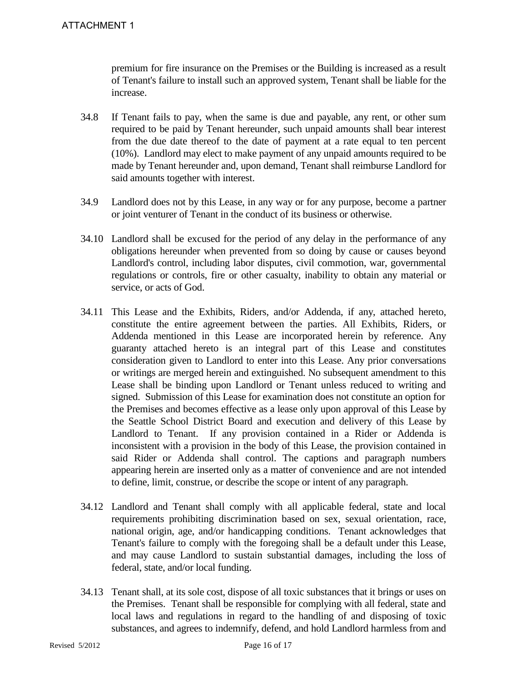premium for fire insurance on the Premises or the Building is increased as a result of Tenant's failure to install such an approved system, Tenant shall be liable for the increase.

- 34.8 If Tenant fails to pay, when the same is due and payable, any rent, or other sum required to be paid by Tenant hereunder, such unpaid amounts shall bear interest from the due date thereof to the date of payment at a rate equal to ten percent (10%). Landlord may elect to make payment of any unpaid amounts required to be made by Tenant hereunder and, upon demand, Tenant shall reimburse Landlord for said amounts together with interest.
- 34.9 Landlord does not by this Lease, in any way or for any purpose, become a partner or joint venturer of Tenant in the conduct of its business or otherwise.
- 34.10 Landlord shall be excused for the period of any delay in the performance of any obligations hereunder when prevented from so doing by cause or causes beyond Landlord's control, including labor disputes, civil commotion, war, governmental regulations or controls, fire or other casualty, inability to obtain any material or service, or acts of God.
- 34.11 This Lease and the Exhibits, Riders, and/or Addenda, if any, attached hereto, constitute the entire agreement between the parties. All Exhibits, Riders, or Addenda mentioned in this Lease are incorporated herein by reference. Any guaranty attached hereto is an integral part of this Lease and constitutes consideration given to Landlord to enter into this Lease. Any prior conversations or writings are merged herein and extinguished. No subsequent amendment to this Lease shall be binding upon Landlord or Tenant unless reduced to writing and signed. Submission of this Lease for examination does not constitute an option for the Premises and becomes effective as a lease only upon approval of this Lease by the Seattle School District Board and execution and delivery of this Lease by Landlord to Tenant. If any provision contained in a Rider or Addenda is inconsistent with a provision in the body of this Lease, the provision contained in said Rider or Addenda shall control. The captions and paragraph numbers appearing herein are inserted only as a matter of convenience and are not intended to define, limit, construe, or describe the scope or intent of any paragraph.
- 34.12 Landlord and Tenant shall comply with all applicable federal, state and local requirements prohibiting discrimination based on sex, sexual orientation, race, national origin, age, and/or handicapping conditions. Tenant acknowledges that Tenant's failure to comply with the foregoing shall be a default under this Lease, and may cause Landlord to sustain substantial damages, including the loss of federal, state, and/or local funding.
- 34.13 Tenant shall, at its sole cost, dispose of all toxic substances that it brings or uses on the Premises. Tenant shall be responsible for complying with all federal, state and local laws and regulations in regard to the handling of and disposing of toxic substances, and agrees to indemnify, defend, and hold Landlord harmless from and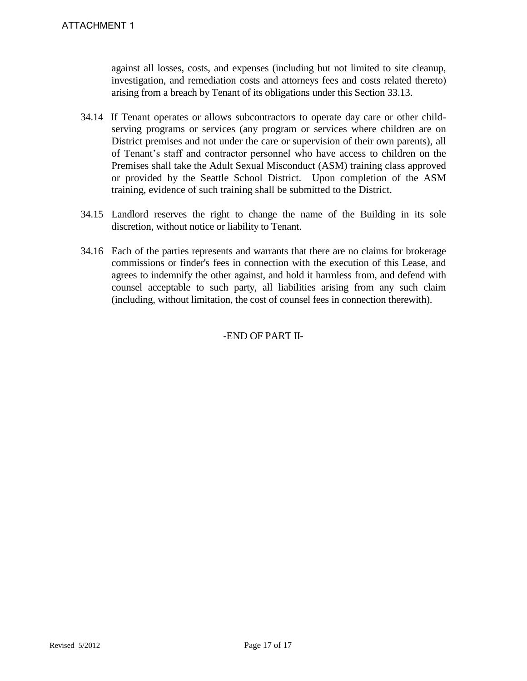against all losses, costs, and expenses (including but not limited to site cleanup, investigation, and remediation costs and attorneys fees and costs related thereto) arising from a breach by Tenant of its obligations under this Section 33.13.

- 34.14 If Tenant operates or allows subcontractors to operate day care or other childserving programs or services (any program or services where children are on District premises and not under the care or supervision of their own parents), all of Tenant's staff and contractor personnel who have access to children on the Premises shall take the Adult Sexual Misconduct (ASM) training class approved or provided by the Seattle School District. Upon completion of the ASM training, evidence of such training shall be submitted to the District.
- 34.15 Landlord reserves the right to change the name of the Building in its sole discretion, without notice or liability to Tenant.
- 34.16 Each of the parties represents and warrants that there are no claims for brokerage commissions or finder's fees in connection with the execution of this Lease, and agrees to indemnify the other against, and hold it harmless from, and defend with counsel acceptable to such party, all liabilities arising from any such claim (including, without limitation, the cost of counsel fees in connection therewith).

# -END OF PART II-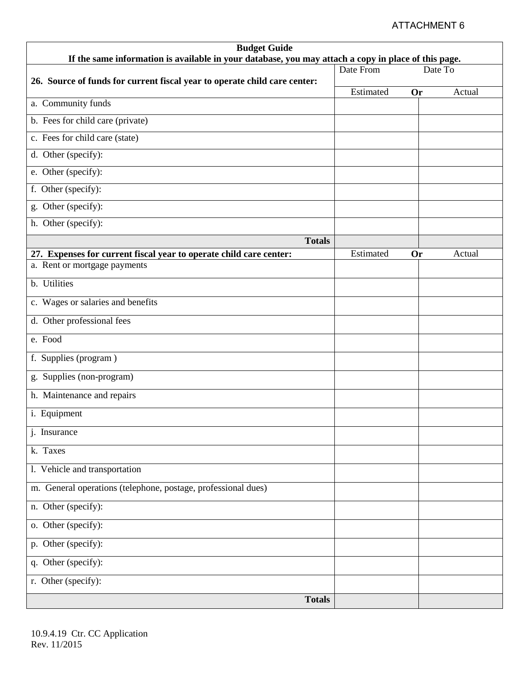# ATTACHMENT 6

| <b>Budget Guide</b>                                                                                                         |           |           |        |  |
|-----------------------------------------------------------------------------------------------------------------------------|-----------|-----------|--------|--|
| If the same information is available in your database, you may attach a copy in place of this page.<br>Date From<br>Date To |           |           |        |  |
| 26. Source of funds for current fiscal year to operate child care center:                                                   |           |           |        |  |
| a. Community funds                                                                                                          | Estimated | <b>Or</b> | Actual |  |
|                                                                                                                             |           |           |        |  |
| b. Fees for child care (private)                                                                                            |           |           |        |  |
| c. Fees for child care (state)                                                                                              |           |           |        |  |
| d. Other (specify):                                                                                                         |           |           |        |  |
| e. Other (specify):                                                                                                         |           |           |        |  |
| f. Other (specify):                                                                                                         |           |           |        |  |
| g. Other (specify):                                                                                                         |           |           |        |  |
| h. Other (specify):                                                                                                         |           |           |        |  |
| <b>Totals</b>                                                                                                               |           |           |        |  |
| 27. Expenses for current fiscal year to operate child care center:                                                          | Estimated | Or        | Actual |  |
| a. Rent or mortgage payments                                                                                                |           |           |        |  |
| b. Utilities                                                                                                                |           |           |        |  |
| c. Wages or salaries and benefits                                                                                           |           |           |        |  |
| d. Other professional fees                                                                                                  |           |           |        |  |
| e. Food                                                                                                                     |           |           |        |  |
| f. Supplies (program)                                                                                                       |           |           |        |  |
| g. Supplies (non-program)                                                                                                   |           |           |        |  |
| h. Maintenance and repairs                                                                                                  |           |           |        |  |
| i. Equipment                                                                                                                |           |           |        |  |
| j. Insurance                                                                                                                |           |           |        |  |
| k. Taxes                                                                                                                    |           |           |        |  |
| 1. Vehicle and transportation                                                                                               |           |           |        |  |
| m. General operations (telephone, postage, professional dues)                                                               |           |           |        |  |
| n. Other (specify):                                                                                                         |           |           |        |  |
| o. Other (specify):                                                                                                         |           |           |        |  |
| p. Other (specify):                                                                                                         |           |           |        |  |
| q. Other (specify):                                                                                                         |           |           |        |  |
| r. Other (specify):                                                                                                         |           |           |        |  |
| <b>Totals</b>                                                                                                               |           |           |        |  |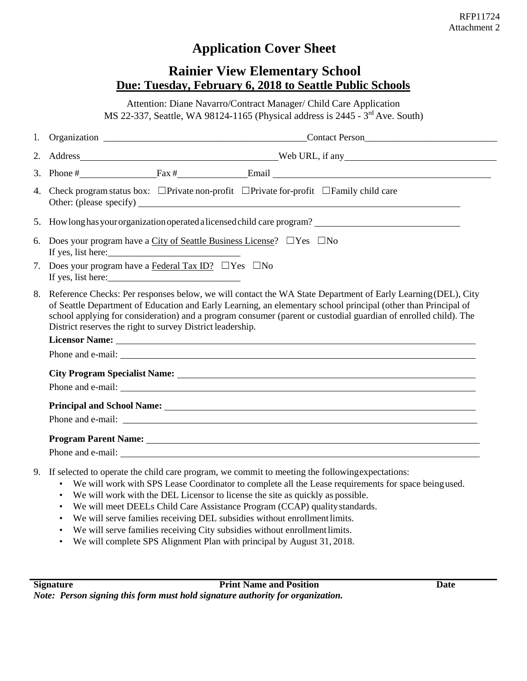# **Application Cover Sheet**

# **Rainier View Elementary School Due: Tuesday, February 6, 2018 to Seattle Public Schools**

Attention: Diane Navarro/Contract Manager/ Child Care Application MS 22-337, Seattle, WA 98124-1165 (Physical address is 2445 - 3rd Ave. South)

|                                  | 3. Phone $\#$ Fax $\#$ Fax $\#$ Email Email Email Email Email Email Email Email Email Email Email Email Email Email Email Email Email Email Email Email Email Email Email Email Email Email Email Email Email Email Email Ema                                                                                                                                                                                      |  |  |  |
|----------------------------------|--------------------------------------------------------------------------------------------------------------------------------------------------------------------------------------------------------------------------------------------------------------------------------------------------------------------------------------------------------------------------------------------------------------------|--|--|--|
|                                  | 4. Check program status box: $\Box$ Private non-profit $\Box$ Private for-profit $\Box$ Family child care                                                                                                                                                                                                                                                                                                          |  |  |  |
|                                  |                                                                                                                                                                                                                                                                                                                                                                                                                    |  |  |  |
|                                  | 6. Does your program have a City of Seattle Business License? $\Box$ Yes $\Box$ No<br>If yes, list here:                                                                                                                                                                                                                                                                                                           |  |  |  |
| $7_{\scriptscriptstyle{\ddots}}$ | Does your program have a Federal Tax ID? $\Box$ Yes $\Box$ No<br>If yes, list here: $\frac{1}{2}$ is the contract of the set of the set of the set of the set of the set of the set of the set of the set of the set of the set of the set of the set of the set of the set of the set of the set                                                                                                                  |  |  |  |
|                                  | 8. Reference Checks: Per responses below, we will contact the WA State Department of Early Learning (DEL), City<br>of Seattle Department of Education and Early Learning, an elementary school principal (other than Principal of<br>school applying for consideration) and a program consumer (parent or custodial guardian of enrolled child). The<br>District reserves the right to survey District leadership. |  |  |  |
|                                  |                                                                                                                                                                                                                                                                                                                                                                                                                    |  |  |  |
|                                  |                                                                                                                                                                                                                                                                                                                                                                                                                    |  |  |  |
|                                  |                                                                                                                                                                                                                                                                                                                                                                                                                    |  |  |  |
|                                  |                                                                                                                                                                                                                                                                                                                                                                                                                    |  |  |  |
|                                  | Principal and School Name: 1988 and School Name: 1988 and 2008 and 2008 and 2008 and 2008 and 2008 and 2008 and 2008 and 2008 and 2008 and 2008 and 2008 and 2008 and 2008 and 2008 and 2008 and 2008 and 2008 and 2008 and 20                                                                                                                                                                                     |  |  |  |
|                                  |                                                                                                                                                                                                                                                                                                                                                                                                                    |  |  |  |
|                                  |                                                                                                                                                                                                                                                                                                                                                                                                                    |  |  |  |
|                                  |                                                                                                                                                                                                                                                                                                                                                                                                                    |  |  |  |
|                                  | 9. If selected to operate the child care program, we commit to meeting the following expectations:                                                                                                                                                                                                                                                                                                                 |  |  |  |

- We will work with SPS Lease Coordinator to complete all the Lease requirements for space beingused.
- We will work with the DEL Licensor to license the site as quickly as possible.
- We will meet DEELs Child Care Assistance Program (CCAP) qualitystandards.
- We will serve families receiving DEL subsidies without enrollmentlimits.
- We will serve families receiving City subsidies without enrollment limits.
- We will complete SPS Alignment Plan with principal by August 31, 2018.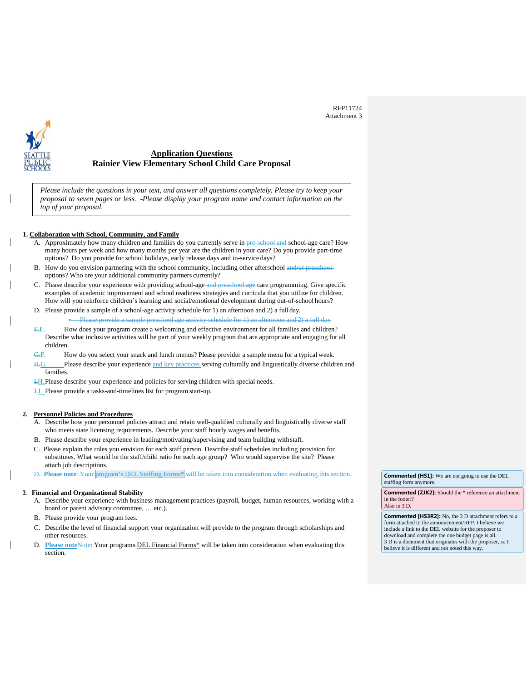RFP11724 Attachment 3



#### **Application Questions Rainier View Elementary School Child Care Proposal**

*Please include the questions in your text, and answer all questions completely. Please try to keep your proposal to seven pages or less. -Please display your program name and contact information on the top of your proposal.*

#### **1. Collaboration with School, Community, and Family**

- A. Approximately how many children and families do you currently serve in pre-school-and-school-age care? How many hours per week and how many months per year are the children in your care? Do you provide part-time options? Do you provide for school holidays, early release days and in-service days?
- B. How do you envision partnering with the school community, including other afterschool and/or preschooloptions? Who are your additional community partners currently?
- C. Please describe your experience with providing school-age-and preschool-age care programming. Give specific examples of academic improvement and school readiness strategies and curricula that you utilize for children. How will you reinforce children's learning and social/emotional development during out-of-school hours?
- D. Please provide a sample of a school-age activity schedule for 1) an afternoon and 2) a full day. • Please provide a sample preschool age activity schedule for 1) an afternoon and 2) a full day
- F.E. How does your program create a welcoming and effective environment for all families and children? Describe what inclusive activities will be part of your weekly program that are appropriate and engaging for all children.
- G.F. How do you select your snack and lunch menus? Please provider a sample menu for a typical week.
- H.G. Please describe your experience and key practices serving culturally and linguistically diverse children and families.
- I.H.Please describe your experience and policies for serving children with special needs.
- J.I. Please provide a tasks-and-timelines list for program start-up.

#### **2. Personnel Policies and Procedures**

- Describe how your personnel policies attract and retain well-qualified culturally and linguistically diverse staff who meets state licensing requirements. Describe your staff hourly wages and benefits.
- B. Please describe your experience in leading/motivating/supervising and team building withstaff.
- C. Please explain the roles you envision for each staff person. Describe staff schedules including provision for substitutes. What would be the staff/child ratio for each age group? Who would supervise the site? Please attach job descriptions.
- D. **Please note**: Your program's DEL Staffing Forms\* will be taken into consideration when evaluating this section.

#### **3. Financial and Organizational Stability**

- A. Describe your experience with business management practices (payroll, budget, human resources, working with a board or parent advisory committee, … etc.).
- B. Please provide your program fees.
- C. Describe the level of financial support your organization will provide to the program through scholarships and other resources.
- D. **Please note**Note: Your programs DEL Financial Forms\* will be taken into consideration when evaluating this section.

**Commented [HS1]:** We are not going to use the DEL staffing form anymore.

**Commented [ZJK2]:** Should the **\*** reference an attachment in the footer? Also in 3.D.

**Commented [HS3R2]:** No, the 3 D attachment refers to a form attached to the announcement/RFP. I believe we include a link to the DEL website for the proposer to download and complete the one budget page is all. 3 D is a document that originates with the proposer, so I believe it is different and not noted this way.